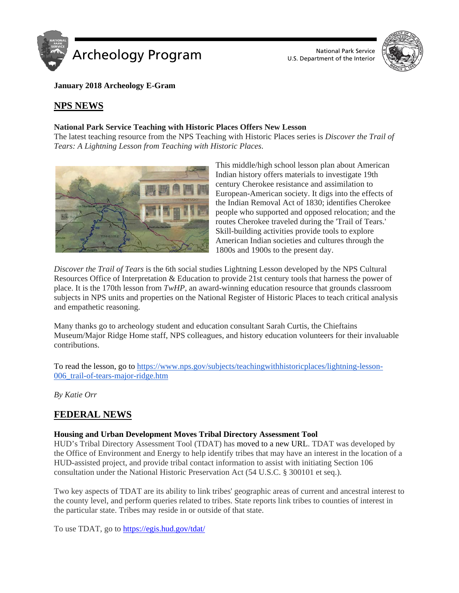



**January 2018 Archeology E-Gram**

## **NPS NEWS**

#### **National Park Service Teaching with Historic Places Offers New Lesson**

The latest teaching resource from the NPS Teaching with Historic Places series is *Discover the Trail of Tears: A Lightning Lesson from Teaching with Historic Places*.



This middle/high school lesson plan about American Indian history offers materials to investigate 19th century Cherokee resistance and assimilation to European-American society. It digs into the effects of the Indian Removal Act of 1830; identifies Cherokee people who supported and opposed relocation; and the routes Cherokee traveled during the 'Trail of Tears.' Skill-building activities provide tools to explore American Indian societies and cultures through the 1800s and 1900s to the present day.

*Discover the Trail of Tears* is the 6th social studies Lightning Lesson developed by the NPS Cultural Resources Office of Interpretation & Education to provide 21st century tools that harness the power of place. It is the 170th lesson from *TwHP*, an award-winning education resource that grounds classroom subjects in NPS units and properties on the National Register of Historic Places to teach critical analysis and empathetic reasoning.

Many thanks go to archeology student and education consultant Sarah Curtis, the Chieftains Museum/Major Ridge Home staff, NPS colleagues, and history education volunteers for their invaluable contributions.

To read the lesson, go to [https://www.nps.gov/subjects/teachingwithhistoricplaces/lightning-lesson-](https://www.nps.gov/subjects/teachingwithhistoricplaces/lightning-lesson-006_trail-of-tears-major-ridge.htm)006 trail-of-tears-major-ridge.htm

*By Katie Orr*

# **FEDERAL NEWS**

### **Housing and Urban Development Moves Tribal Directory Assessment Tool**

HUD's Tribal Directory Assessment Tool (TDAT) has moved to a new URL. TDAT was developed by the Office of Environment and Energy to help identify tribes that may have an interest in the location of a HUD-assisted project, and provide tribal contact information to assist with initiating Section 106 consultation under the National Historic Preservation Act (54 U.S.C. § 300101 et seq.).

Two key aspects of TDAT are its ability to link tribes' geographic areas of current and ancestral interest to the county level, and perform queries related to tribes. State reports link tribes to counties of interest in the particular state. Tribes may reside in or outside of that state.

To use TDAT, go to<https://egis.hud.gov/tdat/>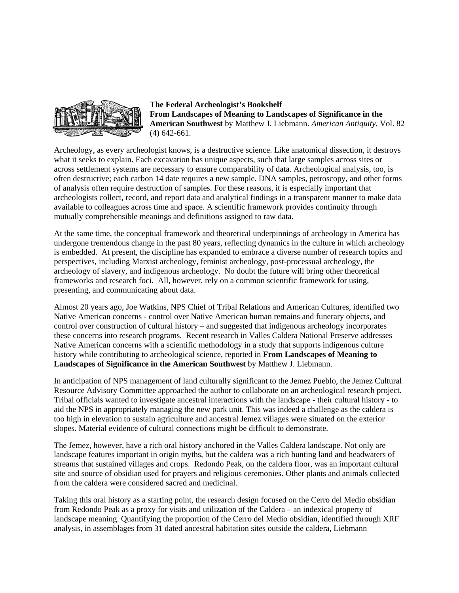

**The Federal Archeologist's Bookshelf From Landscapes of Meaning to Landscapes of Significance in the American Southwest** by Matthew J. Liebmann. *American Antiquity*, Vol. 82 (4) 642-661.

Archeology, as every archeologist knows, is a destructive science. Like anatomical dissection, it destroys what it seeks to explain. Each excavation has unique aspects, such that large samples across sites or across settlement systems are necessary to ensure comparability of data. Archeological analysis, too, is often destructive; each carbon 14 date requires a new sample. DNA samples, petroscopy, and other forms of analysis often require destruction of samples. For these reasons, it is especially important that archeologists collect, record, and report data and analytical findings in a transparent manner to make data available to colleagues across time and space. A scientific framework provides continuity through mutually comprehensible meanings and definitions assigned to raw data.

At the same time, the conceptual framework and theoretical underpinnings of archeology in America has undergone tremendous change in the past 80 years, reflecting dynamics in the culture in which archeology is embedded. At present, the discipline has expanded to embrace a diverse number of research topics and perspectives, including Marxist archeology, feminist archeology, post-processual archeology, the archeology of slavery, and indigenous archeology. No doubt the future will bring other theoretical frameworks and research foci. All, however, rely on a common scientific framework for using, presenting, and communicating about data.

Almost 20 years ago, Joe Watkins, NPS Chief of Tribal Relations and American Cultures, identified two Native American concerns - control over Native American human remains and funerary objects, and control over construction of cultural history – and suggested that indigenous archeology incorporates these concerns into research programs. Recent research in Valles Caldera National Preserve addresses Native American concerns with a scientific methodology in a study that supports indigenous culture history while contributing to archeological science, reported in **From Landscapes of Meaning to Landscapes of Significance in the American Southwest** by Matthew J. Liebmann.

In anticipation of NPS management of land culturally significant to the Jemez Pueblo, the Jemez Cultural Resource Advisory Committee approached the author to collaborate on an archeological research project. Tribal officials wanted to investigate ancestral interactions with the landscape - their cultural history - to aid the NPS in appropriately managing the new park unit. This was indeed a challenge as the caldera is too high in elevation to sustain agriculture and ancestral Jemez villages were situated on the exterior slopes. Material evidence of cultural connections might be difficult to demonstrate.

The Jemez, however, have a rich oral history anchored in the Valles Caldera landscape. Not only are landscape features important in origin myths, but the caldera was a rich hunting land and headwaters of streams that sustained villages and crops. Redondo Peak, on the caldera floor, was an important cultural site and source of obsidian used for prayers and religious ceremonies. Other plants and animals collected from the caldera were considered sacred and medicinal.

Taking this oral history as a starting point, the research design focused on the Cerro del Medio obsidian from Redondo Peak as a proxy for visits and utilization of the Caldera – an indexical property of landscape meaning. Quantifying the proportion of the Cerro del Medio obsidian, identified through XRF analysis, in assemblages from 31 dated ancestral habitation sites outside the caldera, Liebmann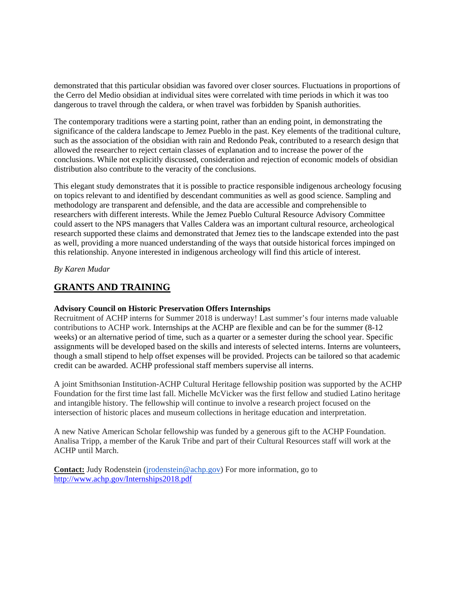demonstrated that this particular obsidian was favored over closer sources. Fluctuations in proportions of the Cerro del Medio obsidian at individual sites were correlated with time periods in which it was too dangerous to travel through the caldera, or when travel was forbidden by Spanish authorities.

The contemporary traditions were a starting point, rather than an ending point, in demonstrating the significance of the caldera landscape to Jemez Pueblo in the past. Key elements of the traditional culture, such as the association of the obsidian with rain and Redondo Peak, contributed to a research design that allowed the researcher to reject certain classes of explanation and to increase the power of the conclusions. While not explicitly discussed, consideration and rejection of economic models of obsidian distribution also contribute to the veracity of the conclusions.

This elegant study demonstrates that it is possible to practice responsible indigenous archeology focusing on topics relevant to and identified by descendant communities as well as good science. Sampling and methodology are transparent and defensible, and the data are accessible and comprehensible to researchers with different interests. While the Jemez Pueblo Cultural Resource Advisory Committee could assert to the NPS managers that Valles Caldera was an important cultural resource, archeological research supported these claims and demonstrated that Jemez ties to the landscape extended into the past as well, providing a more nuanced understanding of the ways that outside historical forces impinged on this relationship. Anyone interested in indigenous archeology will find this article of interest.

*By Karen Mudar*

## **GRANTS AND TRAINING**

#### **Advisory Council on Historic Preservation Offers Internships**

Recruitment of ACHP interns for Summer 2018 is underway! Last summer's four interns made valuable contributions to ACHP work. Internships at the ACHP are flexible and can be for the summer (8-12 weeks) or an alternative period of time, such as a quarter or a semester during the school year. Specific assignments will be developed based on the skills and interests of selected interns. Interns are volunteers, though a small stipend to help offset expenses will be provided. Projects can be tailored so that academic credit can be awarded. ACHP professional staff members supervise all interns.

A joint Smithsonian Institution-ACHP Cultural Heritage fellowship position was supported by the ACHP Foundation for the first time last fall. Michelle McVicker was the first fellow and studied Latino heritage and intangible history. The fellowship will continue to involve a research project focused on the intersection of historic places and museum collections in heritage education and interpretation.

A new Native American Scholar fellowship was funded by a generous gift to the ACHP Foundation. Analisa Tripp, a member of the Karuk Tribe and part of their Cultural Resources staff will work at the ACHP until March.

**Contact:** Judy Rodenstein [\(jrodenstein@achp.gov\)](mailto:jrodenstein@achp.gov) For more information, go to <http://www.achp.gov/Internships2018.pdf>